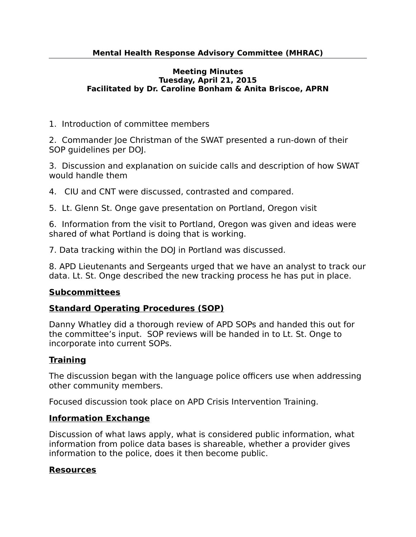### **Meeting Minutes Tuesday, April 21, 2015 Facilitated by Dr. Caroline Bonham & Anita Briscoe, APRN**

1. Introduction of committee members

2. Commander Joe Christman of the SWAT presented a run-down of their SOP guidelines per DOJ.

3. Discussion and explanation on suicide calls and description of how SWAT would handle them

4. CIU and CNT were discussed, contrasted and compared.

5. Lt. Glenn St. Onge gave presentation on Portland, Oregon visit

6. Information from the visit to Portland, Oregon was given and ideas were shared of what Portland is doing that is working.

7. Data tracking within the DOJ in Portland was discussed.

8. APD Lieutenants and Sergeants urged that we have an analyst to track our data. Lt. St. Onge described the new tracking process he has put in place.

## **Subcommittees**

## **Standard Operating Procedures (SOP)**

Danny Whatley did a thorough review of APD SOPs and handed this out for the committee's input. SOP reviews will be handed in to Lt. St. Onge to incorporate into current SOPs.

# **Training**

The discussion began with the language police officers use when addressing other community members.

Focused discussion took place on APD Crisis Intervention Training.

## **Information Exchange**

Discussion of what laws apply, what is considered public information, what information from police data bases is shareable, whether a provider gives information to the police, does it then become public.

# **Resources**